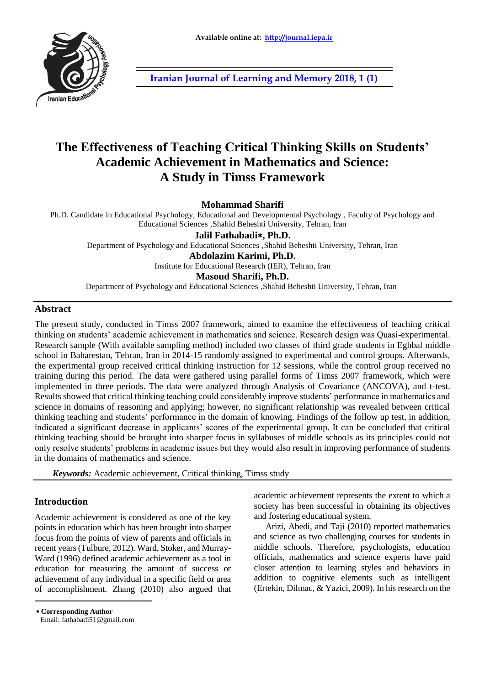

**[Iranian Journal of Learning and Memory 2018, 1 \(1\)](http://journal.iepa.ir/issue_5622_5623_Volume+1%2C+Issue+1%2C+Spring+2018.html)**

# **The Effectiveness of Teaching Critical Thinking Skills on Students' Academic Achievement in Mathematics and Science: A Study in Timss Framework**

**Mohammad Sharifi**

Ph.D. Candidate in Educational Psychology, Educational and Developmental Psychology , Faculty of Psychology and Educational Sciences *,*Shahid Beheshti University, Tehran, Iran

**Jalil Fathabadi, Ph.D.** Department of Psychology and Educational Sciences *,*Shahid Beheshti University, Tehran, Iran

**Abdolazim Karimi, Ph.D.**

Institute for Educational Research (IER), Tehran, Iran

**Masoud Sharifi, Ph.D.**

Department of Psychology and Educational Sciences *,*Shahid Beheshti University, Tehran, Iran

## **Abstract**

The present study, conducted in Timss 2007 framework, aimed to examine the effectiveness of teaching critical thinking on students' academic achievement in mathematics and science. Research design was Quasi-experimental. Research sample (With available sampling method) included two classes of third grade students in Eghbal middle school in Baharestan, Tehran, Iran in 2014-15 randomly assigned to experimental and control groups. Afterwards, the experimental group received critical thinking instruction for 12 sessions, while the control group received no training during this period. The data were gathered using parallel forms of Timss 2007 framework, which were implemented in three periods. The data were analyzed through Analysis of Covariance (ANCOVA), and t-test. Results showed that critical thinking teaching could considerably improve students' performance in mathematics and science in domains of reasoning and applying; however, no significant relationship was revealed between critical thinking teaching and students' performance in the domain of knowing. Findings of the follow up test, in addition, indicated a significant decrease in applicants' scores of the experimental group. It can be concluded that critical thinking teaching should be brought into sharper focus in syllabuses of middle schools as its principles could not only resolve students' problems in academic issues but they would also result in improving performance of students in the domains of mathematics and science.

 *Keywords:* Academic achievement, Critical thinking, Timss study

# **Introduction**

 $\overline{a}$ 

Academic achievement is considered as one of the key points in education which has been brought into sharper focus from the points of view of parents and officials in recent years (Tulbure, 2012). Ward, Stoker, and Murray-Ward (1996) defined academic achievement as a tool in education for measuring the amount of success or achievement of any individual in a specific field or area of accomplishment. Zhang (2010) also argued that academic achievement represents the extent to which a society has been successful in obtaining its objectives and fostering educational system.

Arizi, Abedi, and Taji (2010) reported mathematics and science as two challenging courses for students in middle schools. Therefore, psychologists, education officials, mathematics and science experts have paid closer attention to learning styles and behaviors in addition to cognitive elements such as intelligent (Ertekin, Dilmac, & Yazici, 2009). In his research on the

 **Corresponding Author** Email: fathabadi51@gmail.com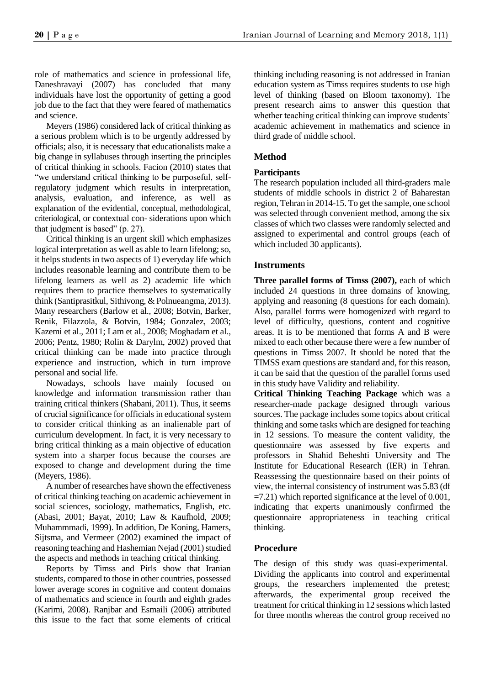role of mathematics and science in professional life, Daneshravayi (2007) has concluded that many individuals have lost the opportunity of getting a good job due to the fact that they were feared of mathematics and science.

Meyers (1986) considered lack of critical thinking as a serious problem which is to be urgently addressed by officials; also, it is necessary that educationalists make a big change in syllabuses through inserting the principles of critical thinking in schools. Facion (2010) states that "we understand critical thinking to be purposeful, selfregulatory judgment which results in interpretation, analysis, evaluation, and inference, as well as explanation of the evidential, conceptual, methodological, criteriological, or contextual con- siderations upon which that judgment is based" (p. 27).

Critical thinking is an urgent skill which emphasizes logical interpretation as well as able to learn lifelong; so, it helps students in two aspects of 1) everyday life which includes reasonable learning and contribute them to be lifelong learners as well as 2) academic life which requires them to practice themselves to systematically think (Santiprasitkul, Sithivong, & Polnueangma, 2013). Many researchers (Barlow et al., 2008; Botvin, Barker, Renik, Filazzola, & Botvin, 1984; Gonzalez, 2003; Kazemi et al., 2011; Lam et al., 2008; Moghadam et al., 2006; Pentz, 1980; Rolin & Darylm, 2002) proved that critical thinking can be made into practice through experience and instruction, which in turn improve personal and social life.

Nowadays, schools have mainly focused on knowledge and information transmission rather than training critical thinkers (Shabani, 2011). Thus, it seems of crucial significance for officials in educational system to consider critical thinking as an inalienable part of curriculum development. In fact, it is very necessary to bring critical thinking as a main objective of education system into a sharper focus because the courses are exposed to change and development during the time (Meyers, 1986).

A number of researches have shown the effectiveness of critical thinking teaching on academic achievement in social sciences, sociology, mathematics, English, etc. (Abasi, 2001; Bayat, 2010; Law & Kaufhold, 2009; Muhammmadi, 1999). In addition, De Koning, Hamers, Sijtsma, and Vermeer (2002) examined the impact of reasoning teaching and Hashemian Nejad (2001) studied the aspects and methods in teaching critical thinking.

Reports by Timss and Pirls show that Iranian students, compared to those in other countries, possessed lower average scores in cognitive and content domains of mathematics and science in fourth and eighth grades (Karimi, 2008). Ranjbar and Esmaili (2006) attributed this issue to the fact that some elements of critical thinking including reasoning is not addressed in Iranian education system as Timss requires students to use high level of thinking (based on Bloom taxonomy). The present research aims to answer this question that whether teaching critical thinking can improve students' academic achievement in mathematics and science in third grade of middle school.

# **Method**

# **Participants**

The research population included all third-graders male students of middle schools in district 2 of Baharestan region, Tehran in 2014-15. To get the sample, one school was selected through convenient method, among the six classes of which two classes were randomly selected and assigned to experimental and control groups (each of which included 30 applicants).

# **Instruments**

**Three parallel forms of Timss (2007),** each of which included 24 questions in three domains of knowing, applying and reasoning (8 questions for each domain). Also, parallel forms were homogenized with regard to level of difficulty, questions, content and cognitive areas. It is to be mentioned that forms A and B were mixed to each other because there were a few number of questions in Timss 2007. It should be noted that the TIMSS exam questions are standard and, for this reason, it can be said that the question of the parallel forms used in this study have Validity and reliability*.*

**Critical Thinking Teaching Package** which was a researcher-made package designed through various sources. The package includes some topics about critical thinking and some tasks which are designed for teaching in 12 sessions. To measure the content validity, the questionnaire was assessed by five experts and professors in Shahid Beheshti University and The Institute for Educational Research (IER) in Tehran. Reassessing the questionnaire based on their points of view, the internal consistency of instrument was 5.83 (df  $=7.21$ ) which reported significance at the level of 0.001, indicating that experts unanimously confirmed the questionnaire appropriateness in teaching critical thinking.

# **Procedure**

The design of this study was quasi-experimental. Dividing the applicants into control and experimental groups, the researchers implemented the pretest; afterwards, the experimental group received the treatment for critical thinking in 12 sessions which lasted for three months whereas the control group received no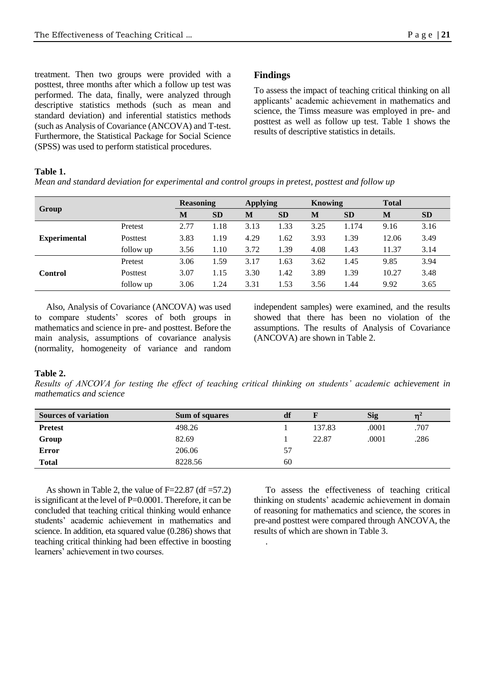treatment. Then two groups were provided with a posttest, three months after which a follow up test was performed. The data, finally, were analyzed through descriptive statistics methods (such as mean and standard deviation) and inferential statistics methods (such as Analysis of Covariance (ANCOVA) and T-test. Furthermore, the Statistical Package for Social Science (SPSS) was used to perform statistical procedures.

# **Findings**

To assess the impact of teaching critical thinking on all applicants' academic achievement in mathematics and science, the Timss measure was employed in pre- and posttest as well as follow up test. Table 1 shows the results of descriptive statistics in details.

#### **Table 1.**

*Mean and standard deviation for experimental and control groups in pretest, posttest and follow up*

| Group               |                 |      | <b>Reasoning</b> |      | <b>Applying</b> |      | <b>Knowing</b> |       | <b>Total</b> |  |
|---------------------|-----------------|------|------------------|------|-----------------|------|----------------|-------|--------------|--|
|                     |                 | M    | <b>SD</b>        | M    | <b>SD</b>       | M    | <b>SD</b>      | M     | <b>SD</b>    |  |
|                     | Pretest         | 2.77 | 1.18             | 3.13 | 1.33            | 3.25 | 1.174          | 9.16  | 3.16         |  |
| <b>Experimental</b> | <b>Posttest</b> | 3.83 | 1.19             | 4.29 | 1.62            | 3.93 | 1.39           | 12.06 | 3.49         |  |
|                     | follow up       | 3.56 | 1.10             | 3.72 | 1.39            | 4.08 | 1.43           | 11.37 | 3.14         |  |
|                     | Pretest         | 3.06 | 1.59             | 3.17 | 1.63            | 3.62 | 1.45           | 9.85  | 3.94         |  |
| <b>Control</b>      | Posttest        | 3.07 | 1.15             | 3.30 | 1.42            | 3.89 | 1.39           | 10.27 | 3.48         |  |
|                     | follow up       | 3.06 | 1.24             | 3.31 | 1.53            | 3.56 | 1.44           | 9.92  | 3.65         |  |

Also, Analysis of Covariance (ANCOVA) was used to compare students' scores of both groups in mathematics and science in pre- and posttest. Before the main analysis, assumptions of covariance analysis (normality, homogeneity of variance and random independent samples) were examined, and the results showed that there has been no violation of the assumptions. The results of Analysis of Covariance (ANCOVA) are shown in Table 2.

#### **Table 2.**

*Results of ANCOVA for testing the effect of teaching critical thinking on students' academic achievement in mathematics and science*

| <b>Sources of variation</b> | Sum of squares | df |        | <b>Sig</b> | $\mathbf{n}^2$ |
|-----------------------------|----------------|----|--------|------------|----------------|
| <b>Pretest</b>              | 498.26         |    | 137.83 | .0001      | .707           |
| Group                       | 82.69          |    | 22.87  | .0001      | .286           |
| <b>Error</b>                | 206.06         | 57 |        |            |                |
| <b>Total</b>                | 8228.56        | 60 |        |            |                |

.

As shown in Table 2, the value of  $F=22.87$  (df  $=57.2$ ) is significant at the level of P=0.0001. Therefore, it can be concluded that teaching critical thinking would enhance students' academic achievement in mathematics and science. In addition, eta squared value (0.286) shows that teaching critical thinking had been effective in boosting learners' achievement in two courses.

To assess the effectiveness of teaching critical thinking on students' academic achievement in domain of reasoning for mathematics and science, the scores in pre-and posttest were compared through ANCOVA, the results of which are shown in Table 3.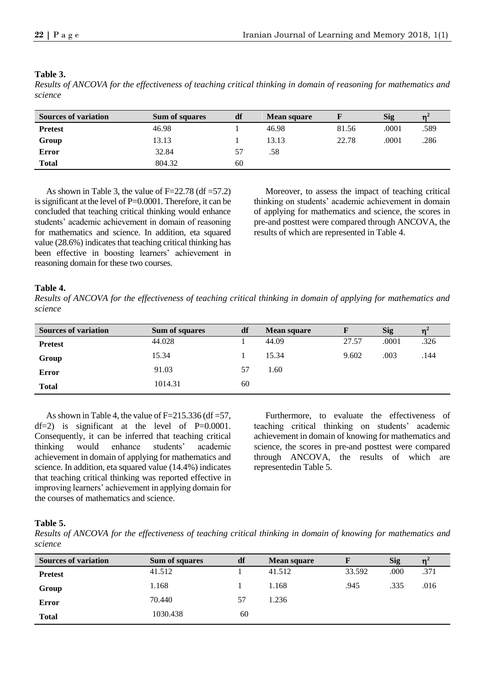## **Table 3.**

| <b>Sources of variation</b> | Sum of squares | df | <b>Mean square</b> |       | <b>Sig</b> | n <sup>2</sup> |
|-----------------------------|----------------|----|--------------------|-------|------------|----------------|
| <b>Pretest</b>              | 46.98          |    | 46.98              | 81.56 | .0001      | .589           |
| Group                       | 13.13          |    | 13.13              | 22.78 | .0001      | .286           |
| <b>Error</b>                | 32.84          | 57 | .58                |       |            |                |
| <b>Total</b>                | 804.32         | 60 |                    |       |            |                |

*Results of ANCOVA for the effectiveness of teaching critical thinking in domain of reasoning for mathematics and science*

As shown in Table 3, the value of  $F=22.78$  (df  $=57.2$ ) is significant at the level of P=0.0001. Therefore, it can be concluded that teaching critical thinking would enhance students' academic achievement in domain of reasoning for mathematics and science. In addition, eta squared value (28.6%) indicates that teaching critical thinking has been effective in boosting learners' achievement in reasoning domain for these two courses.

Moreover, to assess the impact of teaching critical thinking on students' academic achievement in domain of applying for mathematics and science, the scores in pre-and posttest were compared through ANCOVA, the results of which are represented in Table 4.

## **Table 4.**

*Results of ANCOVA for the effectiveness of teaching critical thinking in domain of applying for mathematics and science*

| <b>Sources of variation</b> | Sum of squares | df | <b>Mean square</b> |       | <b>Sig</b> | $n^2$ |
|-----------------------------|----------------|----|--------------------|-------|------------|-------|
| <b>Pretest</b>              | 44.028         |    | 44.09              | 27.57 | .0001      | .326  |
| Group                       | 15.34          |    | 15.34              | 9.602 | .003       | .144  |
| Error                       | 91.03          | 57 | 1.60               |       |            |       |
| <b>Total</b>                | 1014.31        | 60 |                    |       |            |       |

As shown in Table 4, the value of  $F=215.336$  (df =57,  $df=2$ ) is significant at the level of P=0.0001. Consequently, it can be inferred that teaching critical thinking would enhance students' academic achievement in domain of applying for mathematics and science. In addition, eta squared value (14.4%) indicates that teaching critical thinking was reported effective in improving learners' achievement in applying domain for the courses of mathematics and science.

Furthermore, to evaluate the effectiveness of teaching critical thinking on students' academic achievement in domain of knowing for mathematics and science, the scores in pre-and posttest were compared through ANCOVA, the results of which are representedin Table 5.

## **Table 5.**

*Results of ANCOVA for the effectiveness of teaching critical thinking in domain of knowing for mathematics and science*

| <b>Sources of variation</b> | Sum of squares | df | <b>Mean square</b> |        | <b>Sig</b> | n <sup>2</sup> |
|-----------------------------|----------------|----|--------------------|--------|------------|----------------|
| <b>Pretest</b>              | 41.512         |    | 41.512             | 33.592 | .000       | .371           |
| Group                       | 1.168          |    | 1.168              | .945   | .335       | .016           |
| Error                       | 70.440         | 57 | 1.236              |        |            |                |
| <b>Total</b>                | 1030.438       | 60 |                    |        |            |                |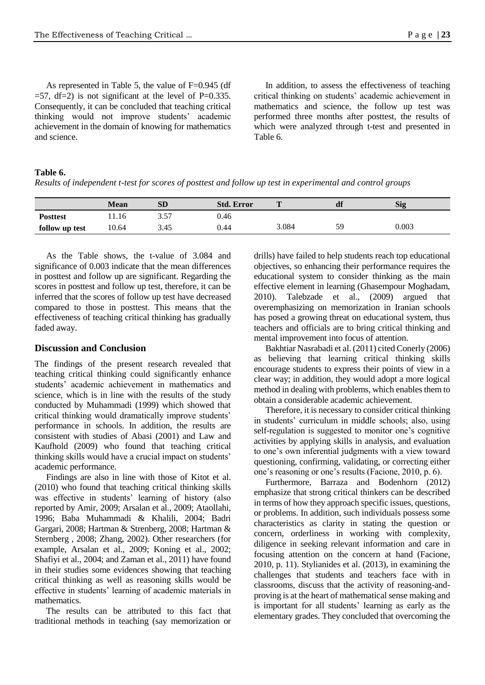As represented in Table 5, the value of F=0.945 (df  $=$  57, df=2) is not significant at the level of P=0.335. Consequently, it can be concluded that teaching critical thinking would not improve students' academic achievement in the domain of knowing for mathematics and science.

In addition, to assess the effectiveness of teaching critical thinking on students' academic achievement in mathematics and science, the follow up test was performed three months after posttest, the results of which were analyzed through t-test and presented in Table 6.

#### **Table 6.**

*Results of independent t-test for scores of posttest and follow up test in experimental and control groups*

|                 | <b>Mean</b> | <b>SD</b>    | <b>Std. Error</b> |       | df | <b>Sig</b> |
|-----------------|-------------|--------------|-------------------|-------|----|------------|
| <b>Posttest</b> | 1.16        | . 57<br>ا بى | 0.46              |       |    |            |
| follow up test  | 10.64       | 3.45         | 0.44              | 3.084 | ັ  | 0.003      |

As the Table shows, the t-value of 3.084 and significance of 0.003 indicate that the mean differences in posttest and follow up are significant. Regarding the scores in posttest and follow up test, therefore, it can be inferred that the scores of follow up test have decreased compared to those in posttest. This means that the effectiveness of teaching critical thinking has gradually faded away.

#### **Discussion and Conclusion**

The findings of the present research revealed that teaching critical thinking could significantly enhance students' academic achievement in mathematics and science, which is in line with the results of the study conducted by Muhammadi (1999) which showed that critical thinking would dramatically improve students' performance in schools. In addition, the results are consistent with studies of Abasi (2001) and Law and Kaufhold (2009) who found that teaching critical thinking skills would have a crucial impact on students' academic performance.

Findings are also in line with those of Kitot et al. (2010) who found that teaching critical thinking skills was effective in students' learning of history (also reported by Amir, 2009; Arsalan et al., 2009; Ataollahi, 1996; Baba Muhammadi & Khalili, 2004; Badri Gargari, 2008; Hartman & Strenberg, 2008; Hartman & Sternberg , 2008; Zhang, 2002). Other researchers (for example, Arsalan et al., 2009; Koning et al., 2002; Shafiyi et al., 2004; and Zaman et al., 2011) have found in their studies some evidences showing that teaching critical thinking as well as reasoning skills would be effective in students' learning of academic materials in mathematics.

The results can be attributed to this fact that traditional methods in teaching (say memorization or drills) have failed to help students reach top educational objectives, so enhancing their performance requires the educational system to consider thinking as the main effective element in learning (Ghasempour Moghadam, 2010). Talebzade et al., (2009) argued that overemphasizing on memorization in Iranian schools has posed a growing threat on educational system, thus teachers and officials are to bring critical thinking and mental improvement into focus of attention.

Bakhtiar Nasrabadi et al. (2011) cited Conerly (2006) as believing that learning critical thinking skills encourage students to express their points of view in a clear way; in addition, they would adopt a more logical method in dealing with problems, which enables them to obtain a considerable academic achievement.

Therefore, it is necessary to consider critical thinking in students' curriculum in middle schools; also, using self-regulation is suggested to monitor one's cognitive activities by applying skills in analysis, and evaluation to one's own inferential judgments with a view toward questioning, confirming, validating, or correcting either one's reasoning or one's results (Facione, 2010, p. 6).

Furthermore, Barraza and Bodenhorn (2012) emphasize that strong critical thinkers can be described in terms of how they approach specific issues, questions, or problems. In addition, such individuals possess some characteristics as clarity in stating the question or concern, orderliness in working with complexity, diligence in seeking relevant information and care in focusing attention on the concern at hand (Facione, 2010, p. 11). Stylianides et al. (2013), in examining the challenges that students and teachers face with in classrooms, discuss that the activity of reasoning-andproving is at the heart of mathematical sense making and is important for all students' learning as early as the elementary grades. They concluded that overcoming the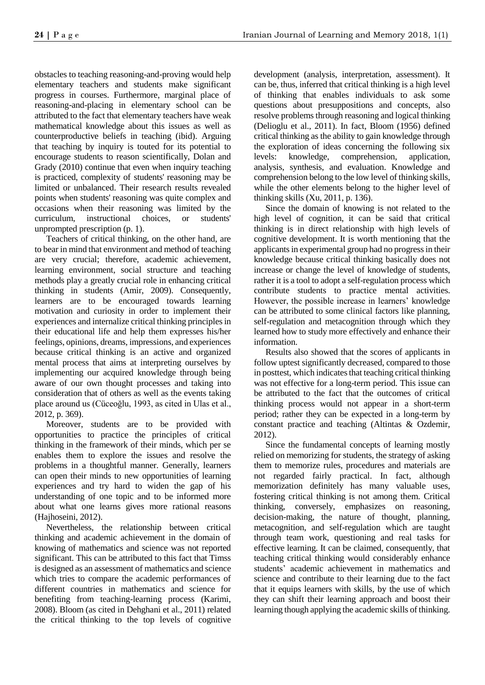obstacles to teaching reasoning-and-proving would help elementary teachers and students make significant progress in courses. Furthermore, marginal place of reasoning-and-placing in elementary school can be attributed to the fact that elementary teachers have weak mathematical knowledge about this issues as well as counterproductive beliefs in teaching (ibid). Arguing that teaching by inquiry is touted for its potential to encourage students to reason scientifically, Dolan and Grady (2010) continue that even when inquiry teaching is practiced, complexity of students' reasoning may be limited or unbalanced. Their research results revealed points when students' reasoning was quite complex and occasions when their reasoning was limited by the curriculum, instructional choices, or students' unprompted prescription (p. 1).

Teachers of critical thinking, on the other hand, are to bear in mind that environment and method of teaching are very crucial; therefore, academic achievement, learning environment, social structure and teaching methods play a greatly crucial role in enhancing critical thinking in students (Amir, 2009). Consequently, learners are to be encouraged towards learning motivation and curiosity in order to implement their experiences and internalize critical thinking principles in their educational life and help them expresses his/her feelings, opinions, dreams, impressions, and experiences because critical thinking is an active and organized mental process that aims at interpreting ourselves by implementing our acquired knowledge through being aware of our own thought processes and taking into consideration that of others as well as the events taking place around us (Cüceoğlu, 1993, as cited in Ulas et al., 2012, p. 369).

Moreover, students are to be provided with opportunities to practice the principles of critical thinking in the framework of their minds, which per se enables them to explore the issues and resolve the problems in a thoughtful manner. Generally, learners can open their minds to new opportunities of learning experiences and try hard to widen the gap of his understanding of one topic and to be informed more about what one learns gives more rational reasons (Hajhoseini, 2012).

Nevertheless, the relationship between critical thinking and academic achievement in the domain of knowing of mathematics and science was not reported significant. This can be attributed to this fact that Timss is designed as an assessment of mathematics and science which tries to compare the academic performances of different countries in mathematics and science for benefiting from teaching-learning process (Karimi, 2008). Bloom (as cited in Dehghani et al., 2011) related the critical thinking to the top levels of cognitive development (analysis, interpretation, assessment). It can be, thus, inferred that critical thinking is a high level of thinking that enables individuals to ask some questions about presuppositions and concepts, also resolve problems through reasoning and logical thinking (Delioglu et al., 2011). In fact, Bloom (1956) defined critical thinking as the ability to gain knowledge through the exploration of ideas concerning the following six levels: knowledge, comprehension, application, analysis, synthesis, and evaluation. Knowledge and comprehension belong to the low level of thinking skills, while the other elements belong to the higher level of thinking skills (Xu, 2011, p. 136).

Since the domain of knowing is not related to the high level of cognition, it can be said that critical thinking is in direct relationship with high levels of cognitive development. It is worth mentioning that the applicants in experimental group had no progress in their knowledge because critical thinking basically does not increase or change the level of knowledge of students, rather it is a tool to adopt a self-regulation process which contribute students to practice mental activities. However, the possible increase in learners' knowledge can be attributed to some clinical factors like planning, self-regulation and metacognition through which they learned how to study more effectively and enhance their information.

Results also showed that the scores of applicants in follow uptest significantly decreased, compared to those in posttest, which indicates that teaching critical thinking was not effective for a long-term period. This issue can be attributed to the fact that the outcomes of critical thinking process would not appear in a short-term period; rather they can be expected in a long-term by constant practice and teaching (Altintas & Ozdemir, 2012).

Since the fundamental concepts of learning mostly relied on memorizing for students, the strategy of asking them to memorize rules, procedures and materials are not regarded fairly practical. In fact, although memorization definitely has many valuable uses, fostering critical thinking is not among them. Critical thinking, conversely, emphasizes on reasoning, decision-making, the nature of thought, planning, metacognition, and self-regulation which are taught through team work, questioning and real tasks for effective learning. It can be claimed, consequently, that teaching critical thinking would considerably enhance students' academic achievement in mathematics and science and contribute to their learning due to the fact that it equips learners with skills, by the use of which they can shift their learning approach and boost their learning though applying the academic skills of thinking.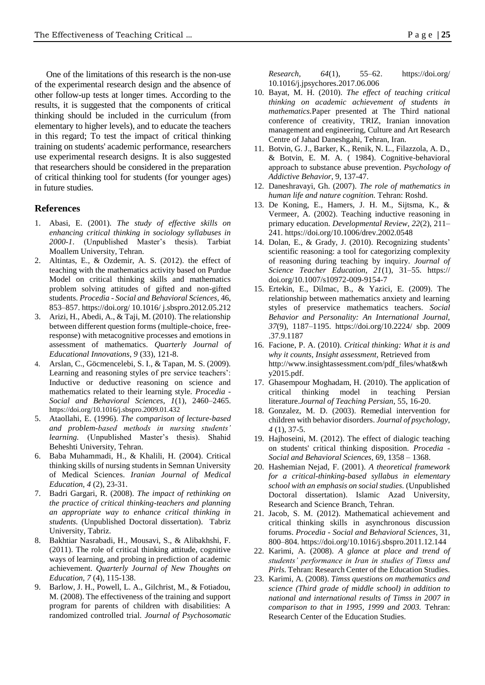One of the limitations of this research is the non-use of the experimental research design and the absence of other follow-up tests at longer times. According to the results, it is suggested that the components of critical thinking should be included in the curriculum (from elementary to higher levels), and to educate the teachers in this regard; To test the impact of critical thinking training on students' academic performance, researchers use experimental research designs. It is also suggested that researchers should be considered in the preparation of critical thinking tool for students (for younger ages) in future studies.

## **References**

- 1. Abasi, E. (2001). *The study of effective skills on enhancing critical thinking in sociology syllabuses in 2000-1*. (Unpublished Master's thesis). Tarbiat Moallem University, Tehran.
- 2. Altintas, E., & Ozdemir, A. S. (2012). the effect of teaching with the mathematics activity based on Purdue Model on critical thinking skills and mathematics problem solving attitudes of gifted and non-gifted students. *Procedia - Social and Behavioral Sciences*, 46, 853–857[. https://doi.org/](https://doi.org/) 10.1016/ j.sbspro.2012.05.212
- 3. Arizi, H., Abedi, A., & Taji, M. (2010). The relationship between different question forms (multiple-choice, freeresponse) with metacognitive processes and emotions in assessment of mathematics. *Quarterly Journal of Educational Innovations, 9* (33), 121-8.
- 4. Arslan, C., Göcmencelebi, S. I., & Tapan, M. S. (2009). Learning and reasoning styles of pre service teachers': Inductive or deductive reasoning on science and mathematics related to their learning style. *Procedia - Social and Behavioral Sciences, 1*(1), 2460–2465. https://doi.org/10.1016/j.sbspro.2009.01.432
- 5. Ataollahi, E. (1996). *The comparison of lecture-based and problem-based methods in nursing students' learning.* (Unpublished Master's thesis). Shahid Beheshti University, Tehran.
- 6. Baba Muhammadi, H., & Khalili, H. (2004). Critical thinking skills of nursing students in Semnan University of Medical Sciences. *Iranian Journal of Medical Education, 4* (2), 23-31.
- 7. Badri Gargari, R. (2008). *The impact of rethinking on the practice of critical thinking-teachers and planning an appropriate way to enhance critical thinking in students.* (Unpublished Doctoral dissertation). Tabriz University, Tabriz.
- 8. Bakhtiar Nasrabadi, H., Mousavi, S., & Alibakhshi, F. (2011). The role of critical thinking attitude, cognitive ways of learning, and probing in prediction of academic achievement. *Quarterly Journal of New Thoughts on Education, 7* (4), 115-138.
- 9. Barlow, J. H., Powell, L. A., Gilchrist, M., & Fotiadou, M. (2008). The effectiveness of the training and support program for parents of children with disabilities: A randomized controlled trial. *Journal of Psychosomatic*

*Research, 64*(1), 55–62. <https://doi.org/> 10.1016/j.jpsychores.2017.06.006

- 10. Bayat, M. H. (2010). *The effect of teaching critical thinking on academic achievement of students in mathematics.*Paper presented at The Third national conference of creativity, TRIZ, Iranian innovation management and engineering, Culture and Art Research Centre of Jahad Daneshgahi, Tehran, Iran.
- 11. Botvin, G. J., Barker, K., Renik, N. L., Filazzola, A. D., & Botvin, E. M. A. ( 1984). Cognitive-behavioral approach to substance abuse prevention. *Psychology of Addictive Behavior*, 9, 137-47.
- 12. Daneshravayi, Gh. (2007). *The role of mathematics in human life and nature cognition.* Tehran: Roshd.
- 13. De Koning, E., Hamers, J. H. M., Sijtsma, K., & Vermeer, A. (2002). Teaching inductive reasoning in primary education. *Developmental Review, 22*(2), 211– 241. https://doi.org/10.1006/drev.2002.0548
- 14. Dolan, E., & Grady, J. (2010). Recognizing students' scientific reasoning: a tool for categorizing complexity of reasoning during teaching by inquiry. *Journal of Science Teacher Education, 21*(1), 31–55. https:// doi.org/10.1007/s10972-009-9154-7
- 15. Ertekin, E., Dilmac, B., & Yazici, E. (2009). The relationship between mathematics anxiety and learning styles of preservice mathematics teachers. *Social Behavior and Personality: An International Journal, 37*(9), 1187–1195.<https://doi.org/10.2224/> sbp. 2009 .37.9.1187
- 16. Facione, P. A. (2010). *Critical thinking: What it is and why it counts, Insight assessment,* Retrieved from [http://www.insightassessment.com/pdf\\_files/what&wh](http://www.insightassessment.com/pdf_files/what&why2015.pdf) [y2015.pdf.](http://www.insightassessment.com/pdf_files/what&why2015.pdf)
- 17. Ghasempour Moghadam, H. (2010). The application of critical thinking model in teaching Persian literature.*Journal of Teaching Persian*, 55, 16-20.
- 18. Gonzalez, M. D. (2003). Remedial intervention for children with behavior disorders. *Journal of psychology, 4* (1), 37-5.
- 19. Hajhoseini, M. (2012). The effect of dialogic teaching on students' critical thinking disposition. *Procedia - Social and Behavioral Sciences,* 69, 1358 – 1368.
- 20. Hashemian Nejad, F. (2001). *A theoretical framework for a critical-thinking-based syllabus in elementary school with an emphasis on social studies.* (Unpublished Doctoral dissertation). Islamic Azad University, Research and Science Branch, Tehran.
- 21. Jacob, S. M. (2012). Mathematical achievement and critical thinking skills in asynchronous discussion forums. *Procedia - Social and Behavioral Sciences*, 31, 800–804. https://doi.org/10.1016/j.sbspro.2011.12.144
- 22. Karimi, A. (2008). *A glance at place and trend of students' performance in Iran in studies of Timss and Pirls.* Tehran: Research Center of the Education Studies.
- 23. Karimi, A. (2008). *Timss questions on mathematics and science (Third grade of middle school) in addition to national and international results of Timss in 2007 in comparison to that in 1995, 1999 and 2003.* Tehran: Research Center of the Education Studies.